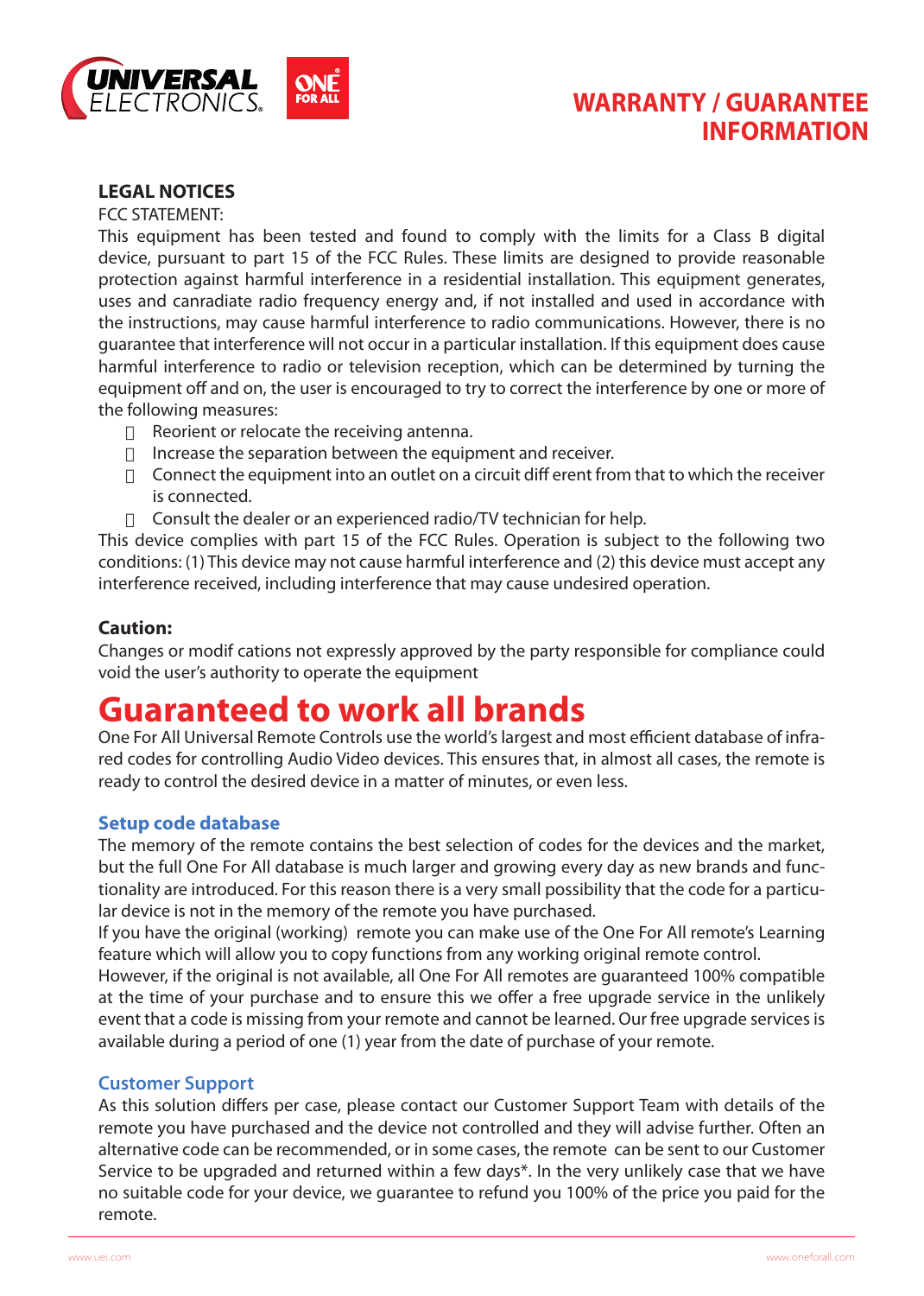

### **LEGAL NOTICES**

FCC STATEMENT:

This equipment has been tested and found to comply with the limits for a Class B digital device, pursuant to part 15 of the FCC Rules. These limits are designed to provide reasonable protection against harmful interference in a residential installation. This equipment generates, uses and canradiate radio frequency energy and, if not installed and used in accordance with the instructions, may cause harmful interference to radio communications. However, there is no guarantee that interference will not occur in a particular installation. If this equipment does cause harmful interference to radio or television reception, which can be determined by turning the equipment off and on, the user is encouraged to try to correct the interference by one or more of the following measures:

- $\Box$  Reorient or relocate the receiving antenna.
- $\Box$  Increase the separation between the equipment and receiver.
- $\Box$  Connect the equipment into an outlet on a circuit diff erent from that to which the receiver is connected.
- $\Box$  Consult the dealer or an experienced radio/TV technician for help.

This device complies with part 15 of the FCC Rules. Operation is subject to the following two conditions: (1) This device may not cause harmful interference and (2) this device must accept any interference received, including interference that may cause undesired operation.

### **Caution:**

Changes or modif cations not expressly approved by the party responsible for compliance could void the user's authority to operate the equipment

# **Guaranteed to work all brands**

One For All Universal Remote Controls use the world's largest and most efficient database of infrared codes for controlling Audio Video devices. This ensures that, in almost all cases, the remote is ready to control the desired device in a matter of minutes, or even less.

### **Setup code database**

The memory of the remote contains the best selection of codes for the devices and the market, but the full One For All database is much larger and growing every day as new brands and functionality are introduced. For this reason there is a very small possibility that the code for a particular device is not in the memory of the remote you have purchased.

If you have the original (working) remote you can make use of the One For All remote's Learning feature which will allow you to copy functions from any working original remote control.

However, if the original is not available, all One For All remotes are guaranteed 100% compatible at the time of your purchase and to ensure this we offer a free upgrade service in the unlikely event that a code is missing from your remote and cannot be learned. Our free upgrade services is available during a period of one (1) year from the date of purchase of your remote.

### **Customer Support**

As this solution differs per case, please contact our Customer Support Team with details of the remote you have purchased and the device not controlled and they will advise further. Often an alternative code can be recommended, or in some cases, the remote can be sent to our Customer Service to be upgraded and returned within a few days\*. In the very unlikely case that we have no suitable code for your device, we guarantee to refund you 100% of the price you paid for the remote.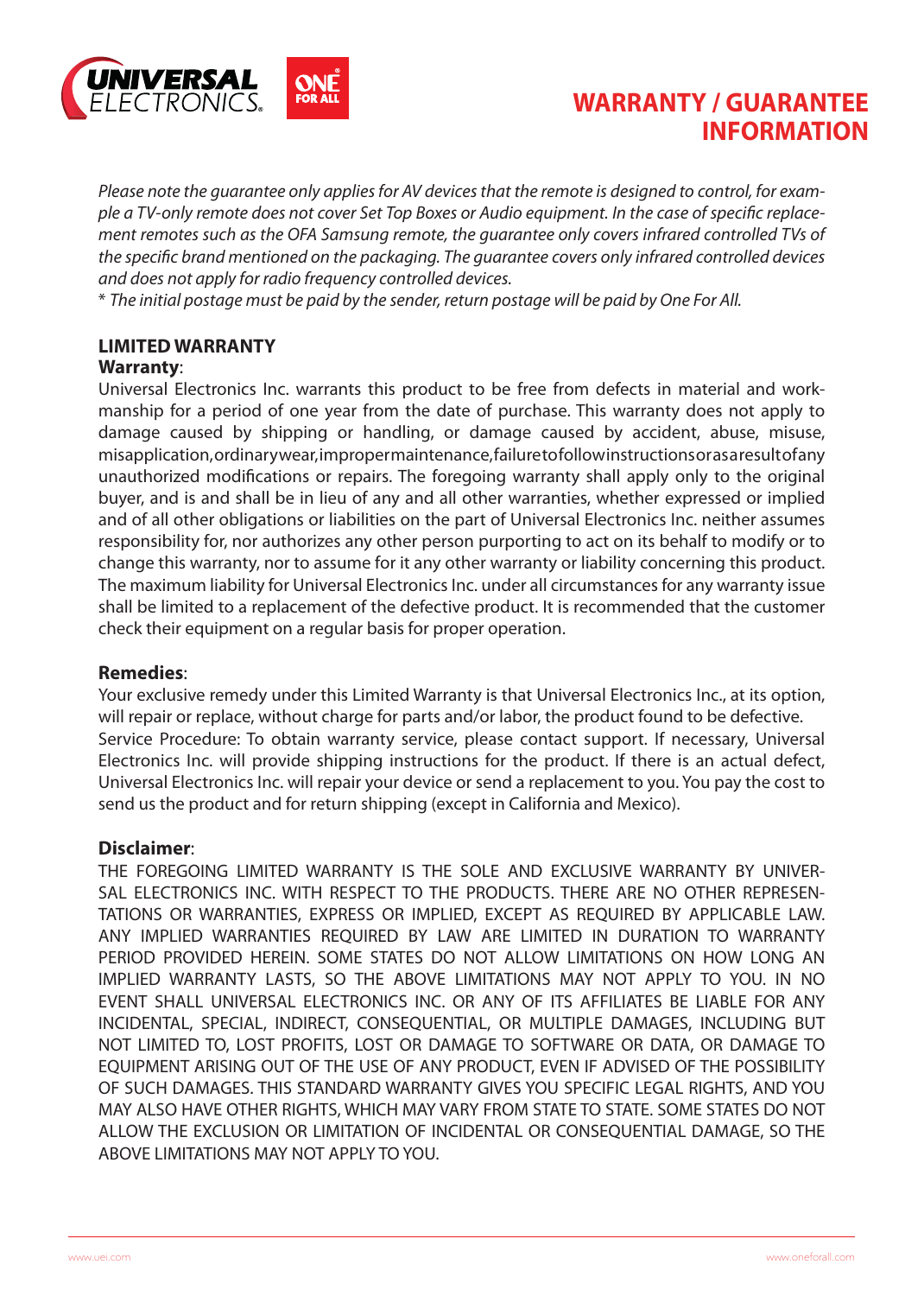

# **WARRANTY / GUARANTEE INFORMATION**

*Please note the guarantee only applies for AV devices that the remote is designed to control, for example a TV-only remote does not cover Set Top Boxes or Audio equipment. In the case of specific replacement remotes such as the OFA Samsung remote, the guarantee only covers infrared controlled TVs of the specific brand mentioned on the packaging. The guarantee covers only infrared controlled devices and does not apply for radio frequency controlled devices.*

\* *The initial postage must be paid by the sender, return postage will be paid by One For All.*

### **LIMITED WARRANTY Warranty**:

Universal Electronics Inc. warrants this product to be free from defects in material and workmanship for a period of one year from the date of purchase. This warranty does not apply to damage caused by shipping or handling, or damage caused by accident, abuse, misuse, misapplication, ordinary wear, improper maintenance, failure to follow instructions or as a result of any unauthorized modifications or repairs. The foregoing warranty shall apply only to the original buyer, and is and shall be in lieu of any and all other warranties, whether expressed or implied and of all other obligations or liabilities on the part of Universal Electronics Inc. neither assumes responsibility for, nor authorizes any other person purporting to act on its behalf to modify or to change this warranty, nor to assume for it any other warranty or liability concerning this product. The maximum liability for Universal Electronics Inc. under all circumstances for any warranty issue shall be limited to a replacement of the defective product. It is recommended that the customer check their equipment on a regular basis for proper operation.

## **Remedies**:

Your exclusive remedy under this Limited Warranty is that Universal Electronics Inc., at its option, will repair or replace, without charge for parts and/or labor, the product found to be defective. Service Procedure: To obtain warranty service, please contact support. If necessary, Universal Electronics Inc. will provide shipping instructions for the product. If there is an actual defect, Universal Electronics Inc. will repair your device or send a replacement to you. You pay the cost to send us the product and for return shipping (except in California and Mexico).

### **Disclaimer**:

THE FOREGOING LIMITED WARRANTY IS THE SOLE AND EXCLUSIVE WARRANTY BY UNIVER-SAL ELECTRONICS INC. WITH RESPECT TO THE PRODUCTS. THERE ARE NO OTHER REPRESEN-TATIONS OR WARRANTIES, EXPRESS OR IMPLIED, EXCEPT AS REQUIRED BY APPLICABLE LAW. ANY IMPLIED WARRANTIES REQUIRED BY LAW ARE LIMITED IN DURATION TO WARRANTY PERIOD PROVIDED HEREIN. SOME STATES DO NOT ALLOW LIMITATIONS ON HOW LONG AN IMPLIED WARRANTY LASTS, SO THE ABOVE LIMITATIONS MAY NOT APPLY TO YOU. IN NO EVENT SHALL UNIVERSAL ELECTRONICS INC. OR ANY OF ITS AFFILIATES BE LIABLE FOR ANY INCIDENTAL, SPECIAL, INDIRECT, CONSEQUENTIAL, OR MULTIPLE DAMAGES, INCLUDING BUT NOT LIMITED TO, LOST PROFITS, LOST OR DAMAGE TO SOFTWARE OR DATA, OR DAMAGE TO EQUIPMENT ARISING OUT OF THE USE OF ANY PRODUCT, EVEN IF ADVISED OF THE POSSIBILITY OF SUCH DAMAGES. THIS STANDARD WARRANTY GIVES YOU SPECIFIC LEGAL RIGHTS, AND YOU MAY ALSO HAVE OTHER RIGHTS, WHICH MAY VARY FROM STATE TO STATE. SOME STATES DO NOT ALLOW THE EXCLUSION OR LIMITATION OF INCIDENTAL OR CONSEQUENTIAL DAMAGE, SO THE ABOVE LIMITATIONS MAY NOT APPLY TO YOU.